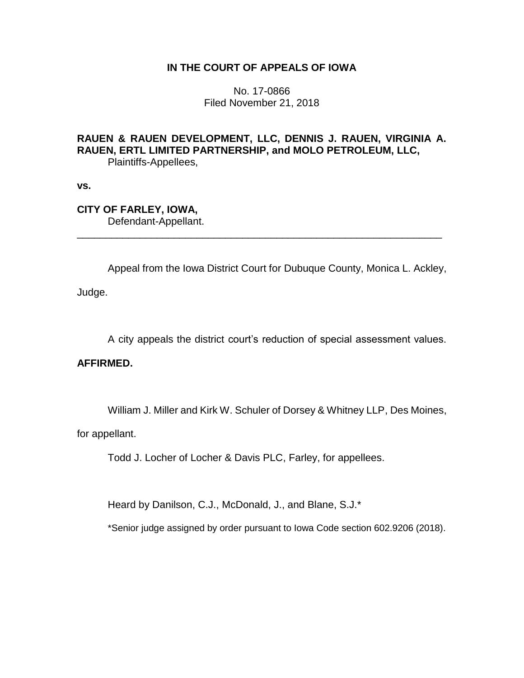## **IN THE COURT OF APPEALS OF IOWA**

No. 17-0866 Filed November 21, 2018

## **RAUEN & RAUEN DEVELOPMENT, LLC, DENNIS J. RAUEN, VIRGINIA A. RAUEN, ERTL LIMITED PARTNERSHIP, and MOLO PETROLEUM, LLC,** Plaintiffs-Appellees,

\_\_\_\_\_\_\_\_\_\_\_\_\_\_\_\_\_\_\_\_\_\_\_\_\_\_\_\_\_\_\_\_\_\_\_\_\_\_\_\_\_\_\_\_\_\_\_\_\_\_\_\_\_\_\_\_\_\_\_\_\_\_\_\_

**vs.**

# **CITY OF FARLEY, IOWA,**

Defendant-Appellant.

Appeal from the Iowa District Court for Dubuque County, Monica L. Ackley,

Judge.

A city appeals the district court's reduction of special assessment values.

## **AFFIRMED.**

William J. Miller and Kirk W. Schuler of Dorsey & Whitney LLP, Des Moines,

for appellant.

Todd J. Locher of Locher & Davis PLC, Farley, for appellees.

Heard by Danilson, C.J., McDonald, J., and Blane, S.J.\*

\*Senior judge assigned by order pursuant to Iowa Code section 602.9206 (2018).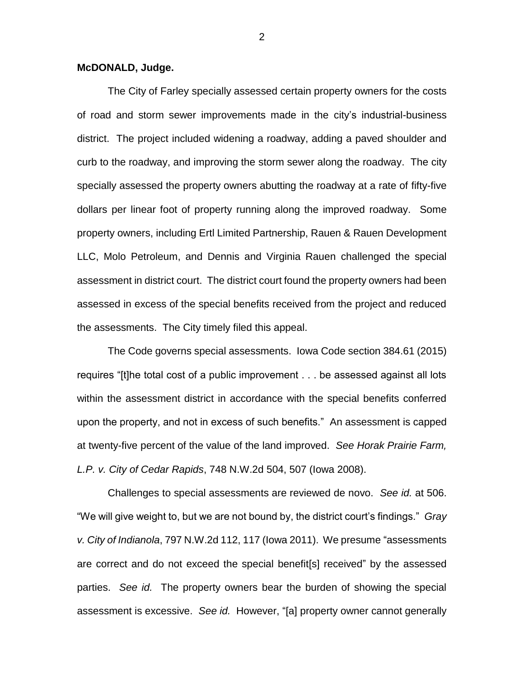#### **McDONALD, Judge.**

The City of Farley specially assessed certain property owners for the costs of road and storm sewer improvements made in the city's industrial-business district. The project included widening a roadway, adding a paved shoulder and curb to the roadway, and improving the storm sewer along the roadway. The city specially assessed the property owners abutting the roadway at a rate of fifty-five dollars per linear foot of property running along the improved roadway. Some property owners, including Ertl Limited Partnership, Rauen & Rauen Development LLC, Molo Petroleum, and Dennis and Virginia Rauen challenged the special assessment in district court. The district court found the property owners had been assessed in excess of the special benefits received from the project and reduced the assessments. The City timely filed this appeal.

The Code governs special assessments. Iowa Code section 384.61 (2015) requires "[t]he total cost of a public improvement . . . be assessed against all lots within the assessment district in accordance with the special benefits conferred upon the property, and not in excess of such benefits." An assessment is capped at twenty-five percent of the value of the land improved. *See Horak Prairie Farm, L.P. v. City of Cedar Rapids*, 748 N.W.2d 504, 507 (Iowa 2008).

Challenges to special assessments are reviewed de novo. *See id.* at 506. "We will give weight to, but we are not bound by, the district court's findings." *Gray v. City of Indianola*, 797 N.W.2d 112, 117 (Iowa 2011). We presume "assessments are correct and do not exceed the special benefit[s] received" by the assessed parties. *See id.* The property owners bear the burden of showing the special assessment is excessive. *See id.* However, "[a] property owner cannot generally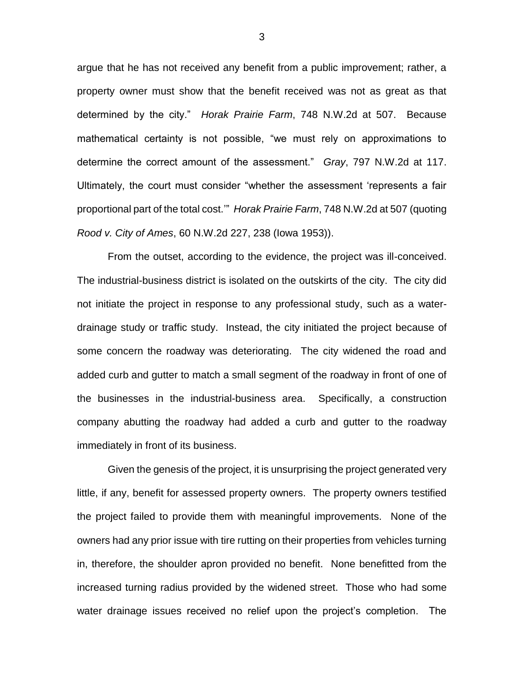argue that he has not received any benefit from a public improvement; rather, a property owner must show that the benefit received was not as great as that determined by the city." *Horak Prairie Farm*, 748 N.W.2d at 507. Because mathematical certainty is not possible, "we must rely on approximations to determine the correct amount of the assessment." *Gray*, 797 N.W.2d at 117. Ultimately, the court must consider "whether the assessment 'represents a fair proportional part of the total cost.'" *Horak Prairie Farm*, 748 N.W.2d at 507 (quoting *Rood v. City of Ames*, 60 N.W.2d 227, 238 (Iowa 1953)).

From the outset, according to the evidence, the project was ill-conceived. The industrial-business district is isolated on the outskirts of the city. The city did not initiate the project in response to any professional study, such as a waterdrainage study or traffic study. Instead, the city initiated the project because of some concern the roadway was deteriorating. The city widened the road and added curb and gutter to match a small segment of the roadway in front of one of the businesses in the industrial-business area. Specifically, a construction company abutting the roadway had added a curb and gutter to the roadway immediately in front of its business.

Given the genesis of the project, it is unsurprising the project generated very little, if any, benefit for assessed property owners. The property owners testified the project failed to provide them with meaningful improvements. None of the owners had any prior issue with tire rutting on their properties from vehicles turning in, therefore, the shoulder apron provided no benefit. None benefitted from the increased turning radius provided by the widened street. Those who had some water drainage issues received no relief upon the project's completion. The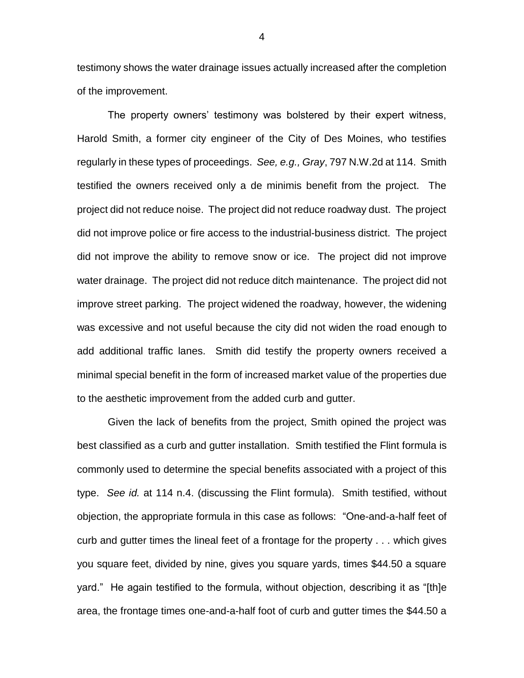testimony shows the water drainage issues actually increased after the completion of the improvement.

The property owners' testimony was bolstered by their expert witness, Harold Smith, a former city engineer of the City of Des Moines, who testifies regularly in these types of proceedings. *See, e.g., Gray*, 797 N.W.2d at 114. Smith testified the owners received only a de minimis benefit from the project. The project did not reduce noise. The project did not reduce roadway dust. The project did not improve police or fire access to the industrial-business district. The project did not improve the ability to remove snow or ice. The project did not improve water drainage. The project did not reduce ditch maintenance. The project did not improve street parking. The project widened the roadway, however, the widening was excessive and not useful because the city did not widen the road enough to add additional traffic lanes. Smith did testify the property owners received a minimal special benefit in the form of increased market value of the properties due to the aesthetic improvement from the added curb and gutter.

Given the lack of benefits from the project, Smith opined the project was best classified as a curb and gutter installation. Smith testified the Flint formula is commonly used to determine the special benefits associated with a project of this type. *See id.* at 114 n.4. (discussing the Flint formula). Smith testified, without objection, the appropriate formula in this case as follows: "One-and-a-half feet of curb and gutter times the lineal feet of a frontage for the property . . . which gives you square feet, divided by nine, gives you square yards, times \$44.50 a square yard." He again testified to the formula, without objection, describing it as "[th]e area, the frontage times one-and-a-half foot of curb and gutter times the \$44.50 a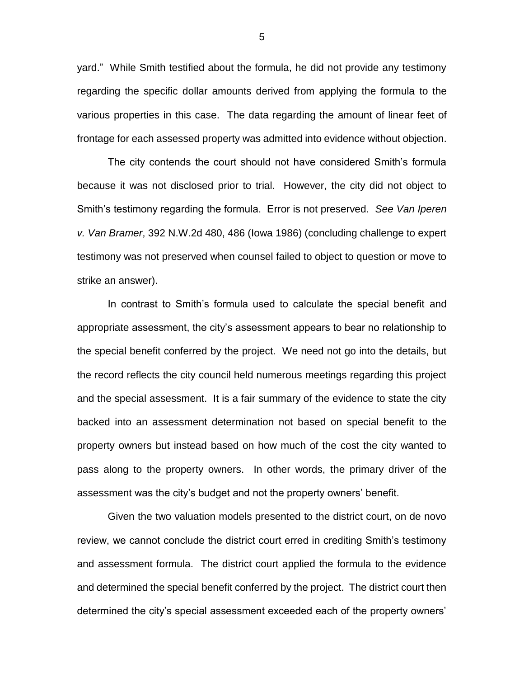yard." While Smith testified about the formula, he did not provide any testimony regarding the specific dollar amounts derived from applying the formula to the various properties in this case. The data regarding the amount of linear feet of frontage for each assessed property was admitted into evidence without objection.

The city contends the court should not have considered Smith's formula because it was not disclosed prior to trial. However, the city did not object to Smith's testimony regarding the formula. Error is not preserved. *See Van Iperen v. Van Bramer*, 392 N.W.2d 480, 486 (Iowa 1986) (concluding challenge to expert testimony was not preserved when counsel failed to object to question or move to strike an answer).

In contrast to Smith's formula used to calculate the special benefit and appropriate assessment, the city's assessment appears to bear no relationship to the special benefit conferred by the project. We need not go into the details, but the record reflects the city council held numerous meetings regarding this project and the special assessment. It is a fair summary of the evidence to state the city backed into an assessment determination not based on special benefit to the property owners but instead based on how much of the cost the city wanted to pass along to the property owners. In other words, the primary driver of the assessment was the city's budget and not the property owners' benefit.

Given the two valuation models presented to the district court, on de novo review, we cannot conclude the district court erred in crediting Smith's testimony and assessment formula. The district court applied the formula to the evidence and determined the special benefit conferred by the project. The district court then determined the city's special assessment exceeded each of the property owners'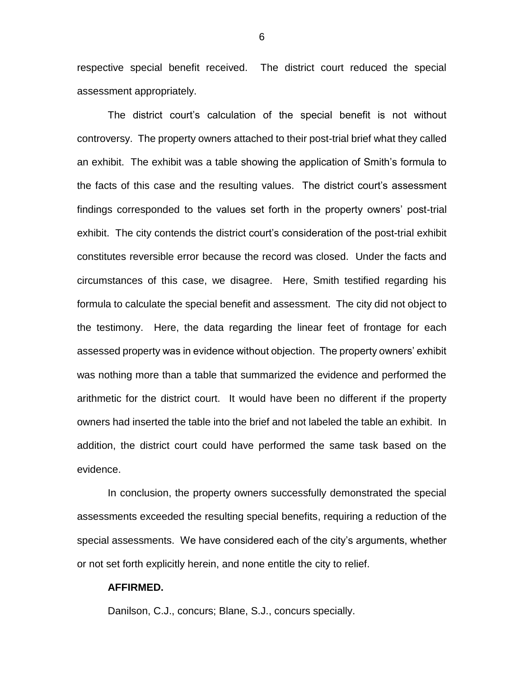respective special benefit received. The district court reduced the special assessment appropriately.

The district court's calculation of the special benefit is not without controversy. The property owners attached to their post-trial brief what they called an exhibit. The exhibit was a table showing the application of Smith's formula to the facts of this case and the resulting values. The district court's assessment findings corresponded to the values set forth in the property owners' post-trial exhibit. The city contends the district court's consideration of the post-trial exhibit constitutes reversible error because the record was closed. Under the facts and circumstances of this case, we disagree. Here, Smith testified regarding his formula to calculate the special benefit and assessment. The city did not object to the testimony. Here, the data regarding the linear feet of frontage for each assessed property was in evidence without objection. The property owners' exhibit was nothing more than a table that summarized the evidence and performed the arithmetic for the district court. It would have been no different if the property owners had inserted the table into the brief and not labeled the table an exhibit. In addition, the district court could have performed the same task based on the evidence.

In conclusion, the property owners successfully demonstrated the special assessments exceeded the resulting special benefits, requiring a reduction of the special assessments. We have considered each of the city's arguments, whether or not set forth explicitly herein, and none entitle the city to relief.

#### **AFFIRMED.**

Danilson, C.J., concurs; Blane, S.J., concurs specially.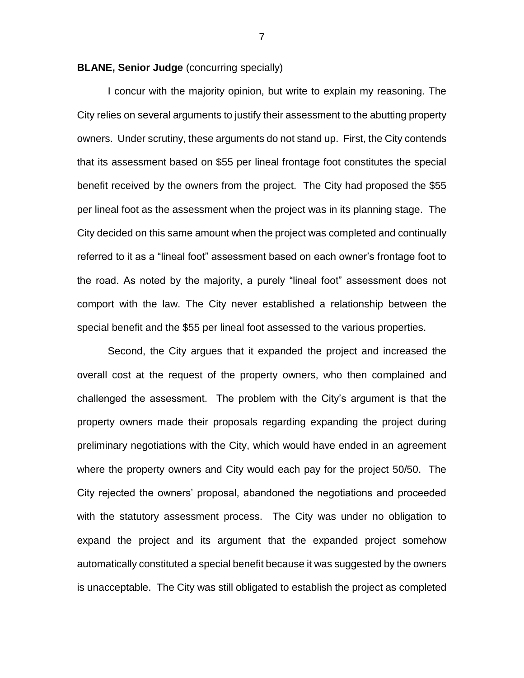**BLANE, Senior Judge** (concurring specially)

I concur with the majority opinion, but write to explain my reasoning. The City relies on several arguments to justify their assessment to the abutting property owners. Under scrutiny, these arguments do not stand up. First, the City contends that its assessment based on \$55 per lineal frontage foot constitutes the special benefit received by the owners from the project. The City had proposed the \$55 per lineal foot as the assessment when the project was in its planning stage. The City decided on this same amount when the project was completed and continually referred to it as a "lineal foot" assessment based on each owner's frontage foot to the road. As noted by the majority, a purely "lineal foot" assessment does not comport with the law. The City never established a relationship between the special benefit and the \$55 per lineal foot assessed to the various properties.

Second, the City argues that it expanded the project and increased the overall cost at the request of the property owners, who then complained and challenged the assessment. The problem with the City's argument is that the property owners made their proposals regarding expanding the project during preliminary negotiations with the City, which would have ended in an agreement where the property owners and City would each pay for the project 50/50. The City rejected the owners' proposal, abandoned the negotiations and proceeded with the statutory assessment process. The City was under no obligation to expand the project and its argument that the expanded project somehow automatically constituted a special benefit because it was suggested by the owners is unacceptable. The City was still obligated to establish the project as completed